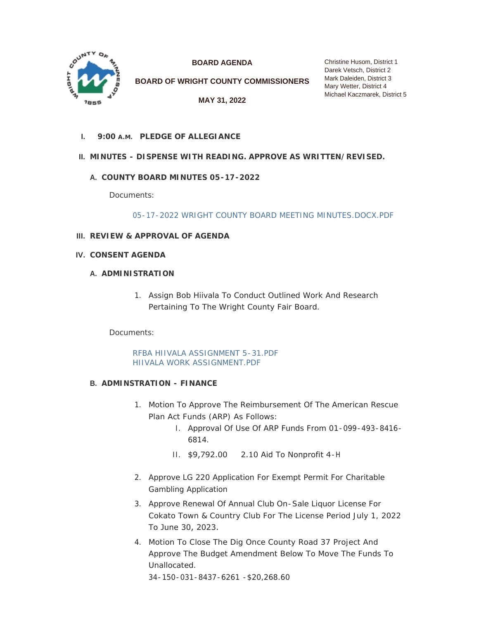

**BOARD AGENDA**

**BOARD OF WRIGHT COUNTY COMMISSIONERS**

**MAY 31, 2022**

Christine Husom, District 1 Darek Vetsch, District 2 Mark Daleiden, District 3 Mary Wetter, District 4 Michael Kaczmarek, District 5

**PLEDGE OF ALLEGIANCE I. 9:00 A.M.**

# **MINUTES - DISPENSE WITH READING. APPROVE AS WRITTEN/REVISED. II.**

## **COUNTY BOARD MINUTES 05-17-2022 A.**

Documents:

[05-17-2022 WRIGHT COUNTY BOARD MEETING MINUTES.DOCX.PDF](https://www.co.wright.mn.us/AgendaCenter/ViewFile/Item/10719?fileID=23230)

- **REVIEW & APPROVAL OF AGENDA III.**
- **CONSENT AGENDA IV.**

### **A. ADMINISTRATION**

1. Assign Bob Hiivala To Conduct Outlined Work And Research Pertaining To The Wright County Fair Board.

Documents:

[RFBA HIIVALA ASSIGNMENT 5-31.PDF](https://www.co.wright.mn.us/AgendaCenter/ViewFile/Item/10710?fileID=23218) [HIIVALA WORK ASSIGNMENT.PDF](https://www.co.wright.mn.us/AgendaCenter/ViewFile/Item/10710?fileID=23219)

#### **ADMINSTRATION - FINANCE B.**

- 1. Motion To Approve The Reimbursement Of The American Rescue Plan Act Funds (ARP) As Follows:
	- I. Approval Of Use Of ARP Funds From 01-099-493-8416- 6814.
	- II. \$9,792.00 2.10 Aid To Nonprofit 4-H
- 2. Approve LG 220 Application For Exempt Permit For Charitable Gambling Application
- 3. Approve Renewal Of Annual Club On-Sale Liquor License For Cokato Town & Country Club For The License Period July 1, 2022 To June 30, 2023.
- 4. Motion To Close The Dig Once County Road 37 Project And Approve The Budget Amendment Below To Move The Funds To Unallocated. 34-150-031-8437-6261 -\$20,268.60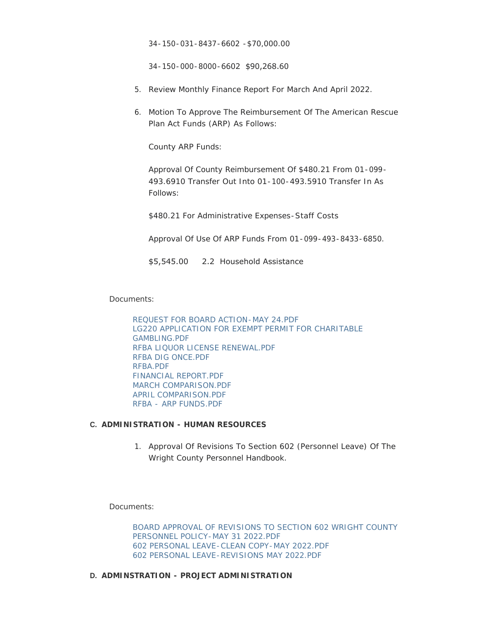34-150-031-8437-6602 -\$70,000.00

34-150-000-8000-6602 \$90,268.60

- 5. Review Monthly Finance Report For March And April 2022.
- 6. Motion To Approve The Reimbursement Of The American Rescue Plan Act Funds (ARP) As Follows:

County ARP Funds:

Approval Of County Reimbursement Of \$480.21 From 01-099- 493.6910 Transfer Out Into 01-100-493.5910 Transfer In As Follows:

\$480.21 For Administrative Expenses-Staff Costs

Approval Of Use Of ARP Funds From 01-099-493-8433-6850.

#### \$5,545.00 2.2 Household Assistance

Documents:

[REQUEST FOR BOARD ACTION-MAY 24.PDF](https://www.co.wright.mn.us/AgendaCenter/ViewFile/Item/10689?fileID=23174) [LG220 APPLICATION FOR EXEMPT PERMIT FOR CHARITABLE](https://www.co.wright.mn.us/AgendaCenter/ViewFile/Item/10689?fileID=23176)  GAMBLING.PDF [RFBA LIQUOR LICENSE RENEWAL.PDF](https://www.co.wright.mn.us/AgendaCenter/ViewFile/Item/10689?fileID=23233) [RFBA DIG ONCE.PDF](https://www.co.wright.mn.us/AgendaCenter/ViewFile/Item/10689?fileID=23232) [RFBA.PDF](https://www.co.wright.mn.us/AgendaCenter/ViewFile/Item/10689?fileID=23227) [FINANCIAL REPORT.PDF](https://www.co.wright.mn.us/AgendaCenter/ViewFile/Item/10689?fileID=23234) [MARCH COMPARISON.PDF](https://www.co.wright.mn.us/AgendaCenter/ViewFile/Item/10689?fileID=23236) [APRIL COMPARISON.PDF](https://www.co.wright.mn.us/AgendaCenter/ViewFile/Item/10689?fileID=23235) [RFBA - ARP FUNDS.PDF](https://www.co.wright.mn.us/AgendaCenter/ViewFile/Item/10689?fileID=23228)

#### **ADMINISTRATION - HUMAN RESOURCES C.**

1. Approval Of Revisions To Section 602 (Personnel Leave) Of The Wright County Personnel Handbook.

Documents:

[BOARD APPROVAL OF REVISIONS TO SECTION 602 WRIGHT COUNTY](https://www.co.wright.mn.us/AgendaCenter/ViewFile/Item/10706?fileID=23211)  PERSONNEL POLICY-MAY 31 2022.PDF [602 PERSONAL LEAVE-CLEAN COPY-MAY 2022.PDF](https://www.co.wright.mn.us/AgendaCenter/ViewFile/Item/10706?fileID=23212) [602 PERSONAL LEAVE-REVISIONS MAY 2022.PDF](https://www.co.wright.mn.us/AgendaCenter/ViewFile/Item/10706?fileID=23213)

#### **ADMINSTRATION - PROJECT ADMINISTRATION D.**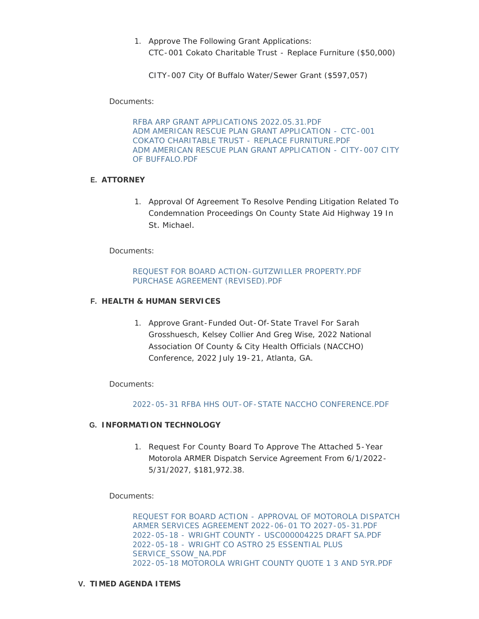1. Approve The Following Grant Applications: CTC-001 Cokato Charitable Trust - Replace Furniture (\$50,000)

CITY-007 City Of Buffalo Water/Sewer Grant (\$597,057)

Documents:

[RFBA ARP GRANT APPLICATIONS 2022.05.31.PDF](https://www.co.wright.mn.us/AgendaCenter/ViewFile/Item/10722?fileID=23237) [ADM AMERICAN RESCUE PLAN GRANT APPLICATION - CTC-001](https://www.co.wright.mn.us/AgendaCenter/ViewFile/Item/10722?fileID=23238)  COKATO CHARITABLE TRUST - REPLACE FURNITURE.PDF [ADM AMERICAN RESCUE PLAN GRANT APPLICATION - CITY-007 CITY](https://www.co.wright.mn.us/AgendaCenter/ViewFile/Item/10722?fileID=23239)  OF BUFFALO.PDF

## **ATTORNEY E.**

1. Approval Of Agreement To Resolve Pending Litigation Related To Condemnation Proceedings On County State Aid Highway 19 In St. Michael.

Documents:

### [REQUEST FOR BOARD ACTION-GUTZWILLER PROPERTY.PDF](https://www.co.wright.mn.us/AgendaCenter/ViewFile/Item/10709?fileID=23216) [PURCHASE AGREEMENT \(REVISED\).PDF](https://www.co.wright.mn.us/AgendaCenter/ViewFile/Item/10709?fileID=23217)

#### **HEALTH & HUMAN SERVICES F.**

1. Approve Grant-Funded Out-Of-State Travel For Sarah Grosshuesch, Kelsey Collier And Greg Wise, 2022 National Association Of County & City Health Officials (NACCHO) Conference, 2022 July 19-21, Atlanta, GA.

Documents:

#### [2022-05-31 RFBA HHS OUT-OF-STATE NACCHO CONFERENCE.PDF](https://www.co.wright.mn.us/AgendaCenter/ViewFile/Item/10693?fileID=23177)

#### **INFORMATION TECHNOLOGY G.**

1. Request For County Board To Approve The Attached 5-Year Motorola ARMER Dispatch Service Agreement From 6/1/2022- 5/31/2027, \$181,972.38.

Documents:

[REQUEST FOR BOARD ACTION - APPROVAL OF MOTOROLA DISPATCH](https://www.co.wright.mn.us/AgendaCenter/ViewFile/Item/10698?fileID=23193)  ARMER SERVICES AGREEMENT 2022-06-01 TO 2027-05-31.PDF [2022-05-18 - WRIGHT COUNTY - USC000004225 DRAFT SA.PDF](https://www.co.wright.mn.us/AgendaCenter/ViewFile/Item/10698?fileID=23190) [2022-05-18 - WRIGHT CO ASTRO 25 ESSENTIAL PLUS](https://www.co.wright.mn.us/AgendaCenter/ViewFile/Item/10698?fileID=23191)  SERVICE\_SSOW\_NA.PDF [2022-05-18 MOTOROLA WRIGHT COUNTY QUOTE 1 3 AND 5YR.PDF](https://www.co.wright.mn.us/AgendaCenter/ViewFile/Item/10698?fileID=23192)

#### **TIMED AGENDA ITEMS V.**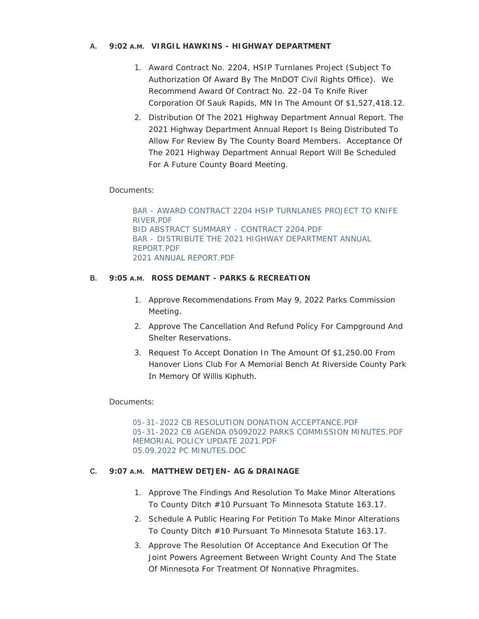### **VIRGIL HAWKINS - HIGHWAY DEPARTMENT A. 9:02 A.M.**

- 1. Award Contract No. 2204, HSIP Turnlanes Project (Subject To Authorization Of Award By The MnDOT Civil Rights Office). We Recommend Award Of Contract No. 22-04 To Knife River Corporation Of Sauk Rapids, MN In The Amount Of \$1,527,418.12.
- 2. Distribution Of The 2021 Highway Department Annual Report. The 2021 Highway Department Annual Report Is Being Distributed To Allow For Review By The County Board Members. Acceptance Of The 2021 Highway Department Annual Report Will Be Scheduled For A Future County Board Meeting.

## Documents:

[BAR - AWARD CONTRACT 2204 HSIP TURNLANES PROJECT TO KNIFE](https://www.co.wright.mn.us/AgendaCenter/ViewFile/Item/10697?fileID=23187)  RIVER.PDF [BID ABSTRACT SUMMARY - CONTRACT 2204.PDF](https://www.co.wright.mn.us/AgendaCenter/ViewFile/Item/10697?fileID=23189) [BAR - DISTRIBUTE THE 2021 HIGHWAY DEPARTMENT ANNUAL](https://www.co.wright.mn.us/AgendaCenter/ViewFile/Item/10697?fileID=23188)  REPORT.PDF [2021 ANNUAL REPORT.PDF](https://www.co.wright.mn.us/AgendaCenter/ViewFile/Item/10697?fileID=23186)

### **B.** 9:05 A.M. ROSS DEMANT - PARKS & RECREATION

- 1. Approve Recommendations From May 9, 2022 Parks Commission Meeting.
- 2. Approve The Cancellation And Refund Policy For Campground And Shelter Reservations.
- 3. Request To Accept Donation In The Amount Of \$1,250.00 From Hanover Lions Club For A Memorial Bench At Riverside County Park In Memory Of Willis Kiphuth.

#### Documents:

[05-31-2022 CB RESOLUTION DONATION ACCEPTANCE.PDF](https://www.co.wright.mn.us/AgendaCenter/ViewFile/Item/10696?fileID=23182) [05-31-2022 CB AGENDA 05092022 PARKS COMMISSION MINUTES.PDF](https://www.co.wright.mn.us/AgendaCenter/ViewFile/Item/10696?fileID=23183) [MEMORIAL POLICY UPDATE 2021.PDF](https://www.co.wright.mn.us/AgendaCenter/ViewFile/Item/10696?fileID=23185) [05.09.2022 PC MINUTES.DOC](https://www.co.wright.mn.us/AgendaCenter/ViewFile/Item/10696?fileID=23184)

#### **MATTHEW DETJEN- AG & DRAINAGE C. 9:07 A.M.**

- 1. Approve The Findings And Resolution To Make Minor Alterations To County Ditch #10 Pursuant To Minnesota Statute 163.17.
- 2. Schedule A Public Hearing For Petition To Make Minor Alterations To County Ditch #10 Pursuant To Minnesota Statute 163.17.
- 3. Approve The Resolution Of Acceptance And Execution Of The Joint Powers Agreement Between Wright County And The State Of Minnesota For Treatment Of Nonnative Phragmites.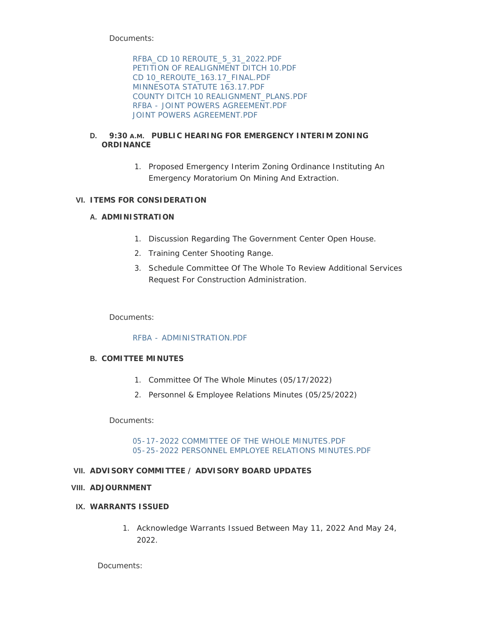Documents:

[RFBA\\_CD 10 REROUTE\\_5\\_31\\_2022.PDF](https://www.co.wright.mn.us/AgendaCenter/ViewFile/Item/10699?fileID=23194) [PETITION OF REALIGNMENT DITCH 10.PDF](https://www.co.wright.mn.us/AgendaCenter/ViewFile/Item/10699?fileID=23248) [CD 10\\_REROUTE\\_163.17\\_FINAL.PDF](https://www.co.wright.mn.us/AgendaCenter/ViewFile/Item/10699?fileID=23195) [MINNESOTA STATUTE 163.17.PDF](https://www.co.wright.mn.us/AgendaCenter/ViewFile/Item/10699?fileID=23196) [COUNTY DITCH 10 REALIGNMENT\\_PLANS.PDF](https://www.co.wright.mn.us/AgendaCenter/ViewFile/Item/10699?fileID=23197) [RFBA - JOINT POWERS AGREEMENT.PDF](https://www.co.wright.mn.us/AgendaCenter/ViewFile/Item/10699?fileID=23246) [JOINT POWERS AGREEMENT.PDF](https://www.co.wright.mn.us/AgendaCenter/ViewFile/Item/10699?fileID=23247)

### **D. 9:30** A.M. PUBLIC HEARING FOR EMERGENCY INTERIM ZONING **ORDINANCE**

1. Proposed Emergency Interim Zoning Ordinance Instituting An Emergency Moratorium On Mining And Extraction.

# **ITEMS FOR CONSIDERATION VI.**

# **A. ADMINISTRATION**

- 1. Discussion Regarding The Government Center Open House.
- 2. Training Center Shooting Range.
- 3. Schedule Committee Of The Whole To Review Additional Services Request For Construction Administration.

Documents:

## [RFBA - ADMINISTRATION.PDF](https://www.co.wright.mn.us/AgendaCenter/ViewFile/Item/10691?fileID=23242)

## **COMITTEE MINUTES B.**

- 1. Committee Of The Whole Minutes (05/17/2022)
- 2. Personnel & Employee Relations Minutes (05/25/2022)

Documents:

#### [05-17-2022 COMMITTEE OF THE WHOLE MINUTES.PDF](https://www.co.wright.mn.us/AgendaCenter/ViewFile/Item/10724?fileID=23244) [05-25-2022 PERSONNEL EMPLOYEE RELATIONS MINUTES.PDF](https://www.co.wright.mn.us/AgendaCenter/ViewFile/Item/10724?fileID=23245)

## **ADVISORY COMMITTEE / ADVISORY BOARD UPDATES VII.**

## **ADJOURNMENT VIII.**

## **WARRANTS ISSUED IX.**

1. Acknowledge Warrants Issued Between May 11, 2022 And May 24, 2022.

Documents: